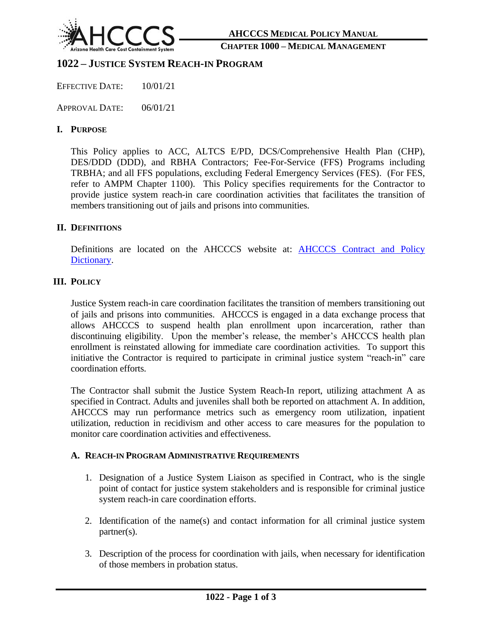

#### **CHAPTER 1000 – MEDICAL MANAGEMENT**

# **1022 – JUSTICE SYSTEM REACH-IN PROGRAM**

EFFECTIVE DATE: 10/01/21

APPROVAL DATE: 06/01/21

# **I. PURPOSE**

This Policy applies to ACC, ALTCS E/PD, DCS/Comprehensive Health Plan (CHP), DES/DDD (DDD), and RBHA Contractors; Fee-For-Service (FFS) Programs including TRBHA; and all FFS populations, excluding Federal Emergency Services (FES). (For FES, refer to AMPM Chapter 1100). This Policy specifies requirements for the Contractor to provide justice system reach-in care coordination activities that facilitates the transition of members transitioning out of jails and prisons into communities.

## **II. DEFINITIONS**

Definitions are located on the AHCCCS website at: **AHCCCS Contract and Policy** [Dictionary.](https://azahcccs.gov/PlansProviders/GuidesManualsPolicies/index.html)

# **III. POLICY**

Justice System reach-in care coordination facilitates the transition of members transitioning out of jails and prisons into communities. AHCCCS is engaged in a data exchange process that allows AHCCCS to suspend health plan enrollment upon incarceration, rather than discontinuing eligibility. Upon the member's release, the member's AHCCCS health plan enrollment is reinstated allowing for immediate care coordination activities. To support this initiative the Contractor is required to participate in criminal justice system "reach-in" care coordination efforts.

The Contractor shall submit the Justice System Reach-In report, utilizing attachment A as specified in Contract. Adults and juveniles shall both be reported on attachment A. In addition, AHCCCS may run performance metrics such as emergency room utilization, inpatient utilization, reduction in recidivism and other access to care measures for the population to monitor care coordination activities and effectiveness.

## **A. REACH-IN PROGRAM ADMINISTRATIVE REQUIREMENTS**

- 1. Designation of a Justice System Liaison as specified in Contract, who is the single point of contact for justice system stakeholders and is responsible for criminal justice system reach-in care coordination efforts.
- 2. Identification of the name(s) and contact information for all criminal justice system partner(s).
- 3. Description of the process for coordination with jails, when necessary for identification of those members in probation status.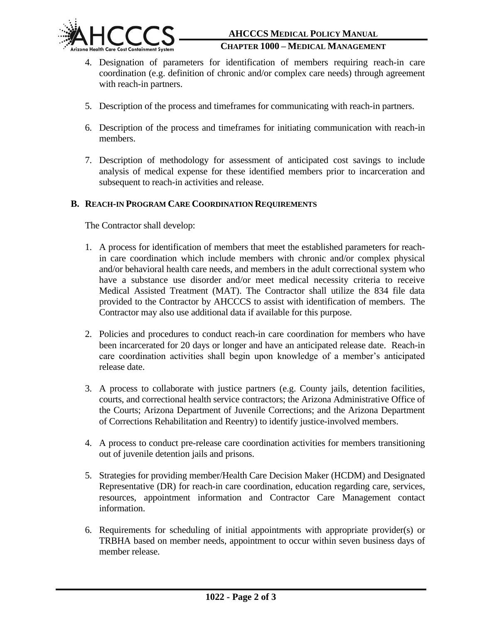

#### **CHAPTER 1000 – MEDICAL MANAGEMENT**

- 4. Designation of parameters for identification of members requiring reach-in care coordination (e.g. definition of chronic and/or complex care needs) through agreement with reach-in partners.
- 5. Description of the process and timeframes for communicating with reach-in partners.
- 6. Description of the process and timeframes for initiating communication with reach-in members.
- 7. Description of methodology for assessment of anticipated cost savings to include analysis of medical expense for these identified members prior to incarceration and subsequent to reach-in activities and release.

# **B. REACH-IN PROGRAM CARE COORDINATION REQUIREMENTS**

The Contractor shall develop:

- 1. A process for identification of members that meet the established parameters for reachin care coordination which include members with chronic and/or complex physical and/or behavioral health care needs, and members in the adult correctional system who have a substance use disorder and/or meet medical necessity criteria to receive Medical Assisted Treatment (MAT). The Contractor shall utilize the 834 file data provided to the Contractor by AHCCCS to assist with identification of members. The Contractor may also use additional data if available for this purpose.
- 2. Policies and procedures to conduct reach-in care coordination for members who have been incarcerated for 20 days or longer and have an anticipated release date. Reach-in care coordination activities shall begin upon knowledge of a member's anticipated release date.
- 3. A process to collaborate with justice partners (e.g. County jails, detention facilities, courts, and correctional health service contractors; the Arizona Administrative Office of the Courts; Arizona Department of Juvenile Corrections; and the Arizona Department of Corrections Rehabilitation and Reentry) to identify justice-involved members.
- 4. A process to conduct pre-release care coordination activities for members transitioning out of juvenile detention jails and prisons.
- 5. Strategies for providing member/Health Care Decision Maker (HCDM) and Designated Representative (DR) for reach-in care coordination, education regarding care, services, resources, appointment information and Contractor Care Management contact information.
- 6. Requirements for scheduling of initial appointments with appropriate provider(s) or TRBHA based on member needs, appointment to occur within seven business days of member release.